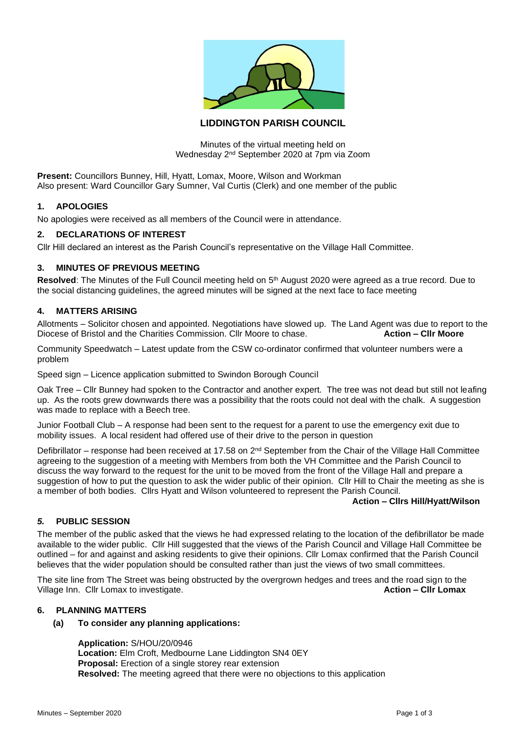

# **LIDDINGTON PARISH COUNCIL**

Minutes of the virtual meeting held on Wednesday 2nd September 2020 at 7pm via Zoom

**Present:** Councillors Bunney, Hill, Hyatt, Lomax, Moore, Wilson and Workman Also present: Ward Councillor Gary Sumner, Val Curtis (Clerk) and one member of the public

### **1. APOLOGIES**

No apologies were received as all members of the Council were in attendance.

## **2. DECLARATIONS OF INTEREST**

Cllr Hill declared an interest as the Parish Council's representative on the Village Hall Committee.

## **3. MINUTES OF PREVIOUS MEETING**

Resolved: The Minutes of the Full Council meeting held on 5<sup>th</sup> August 2020 were agreed as a true record. Due to the social distancing guidelines, the agreed minutes will be signed at the next face to face meeting

### **4. MATTERS ARISING**

Allotments – Solicitor chosen and appointed. Negotiations have slowed up. The Land Agent was due to report to the Diocese of Bristol and the Charities Commission. Cllr Moore to chase. **Action – Cllr Moore**

Community Speedwatch – Latest update from the CSW co-ordinator confirmed that volunteer numbers were a problem

Speed sign – Licence application submitted to Swindon Borough Council

Oak Tree – Cllr Bunney had spoken to the Contractor and another expert. The tree was not dead but still not leafing up. As the roots grew downwards there was a possibility that the roots could not deal with the chalk. A suggestion was made to replace with a Beech tree.

Junior Football Club – A response had been sent to the request for a parent to use the emergency exit due to mobility issues. A local resident had offered use of their drive to the person in question

Defibrillator – response had been received at 17.58 on 2<sup>nd</sup> September from the Chair of the Village Hall Committee agreeing to the suggestion of a meeting with Members from both the VH Committee and the Parish Council to discuss the way forward to the request for the unit to be moved from the front of the Village Hall and prepare a suggestion of how to put the question to ask the wider public of their opinion. Cllr Hill to Chair the meeting as she is a member of both bodies. Cllrs Hyatt and Wilson volunteered to represent the Parish Council.

### **Action – Cllrs Hill/Hyatt/Wilson**

### *5.* **PUBLIC SESSION**

The member of the public asked that the views he had expressed relating to the location of the defibrillator be made available to the wider public. Cllr Hill suggested that the views of the Parish Council and Village Hall Committee be outlined – for and against and asking residents to give their opinions. Cllr Lomax confirmed that the Parish Council believes that the wider population should be consulted rather than just the views of two small committees.

The site line from The Street was being obstructed by the overgrown hedges and trees and the road sign to the Village Inn. Cllr Lomax to investigate. **Action – Cllr Lomax Action – Cllr Lomax** 

## **6. PLANNING MATTERS**

### **(a) To consider any planning applications:**

**Application:** S/HOU/20/0946 **Location:** Elm Croft, Medbourne Lane Liddington SN4 0EY **Proposal:** Erection of a single storey rear extension **Resolved:** The meeting agreed that there were no objections to this application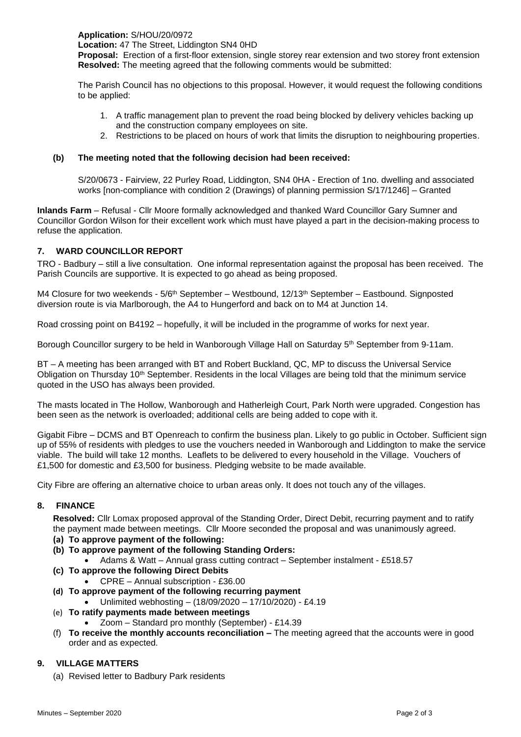**Application:** S/HOU/20/0972 **Location:** 47 The Street, Liddington SN4 0HD

**Proposal:** Erection of a first-floor extension, single storey rear extension and two storey front extension **Resolved:** The meeting agreed that the following comments would be submitted:

The Parish Council has no objections to this proposal. However, it would request the following conditions to be applied:

- 1. A traffic management plan to prevent the road being blocked by delivery vehicles backing up and the construction company employees on site.
- 2. Restrictions to be placed on hours of work that limits the disruption to neighbouring properties.

# **(b) The meeting noted that the following decision had been received:**

S/20/0673 - Fairview, 22 Purley Road, Liddington, SN4 0HA - Erection of 1no. dwelling and associated works [non-compliance with condition 2 (Drawings) of planning permission S/17/1246] – Granted

**Inlands Farm** – Refusal - Cllr Moore formally acknowledged and thanked Ward Councillor Gary Sumner and Councillor Gordon Wilson for their excellent work which must have played a part in the decision-making process to refuse the application.

## **7. WARD COUNCILLOR REPORT**

TRO - Badbury – still a live consultation. One informal representation against the proposal has been received. The Parish Councils are supportive. It is expected to go ahead as being proposed.

M4 Closure for two weekends -  $5/6<sup>th</sup>$  September – Westbound,  $12/13<sup>th</sup>$  September – Eastbound. Signposted diversion route is via Marlborough, the A4 to Hungerford and back on to M4 at Junction 14.

Road crossing point on B4192 – hopefully, it will be included in the programme of works for next year.

Borough Councillor surgery to be held in Wanborough Village Hall on Saturday 5<sup>th</sup> September from 9-11am.

BT – A meeting has been arranged with BT and Robert Buckland, QC, MP to discuss the Universal Service Obligation on Thursday 10<sup>th</sup> September. Residents in the local Villages are being told that the minimum service quoted in the USO has always been provided.

The masts located in The Hollow, Wanborough and Hatherleigh Court, Park North were upgraded. Congestion has been seen as the network is overloaded; additional cells are being added to cope with it.

Gigabit Fibre – DCMS and BT Openreach to confirm the business plan. Likely to go public in October. Sufficient sign up of 55% of residents with pledges to use the vouchers needed in Wanborough and Liddington to make the service viable. The build will take 12 months. Leaflets to be delivered to every household in the Village. Vouchers of £1,500 for domestic and £3,500 for business. Pledging website to be made available.

City Fibre are offering an alternative choice to urban areas only. It does not touch any of the villages.

### **8. FINANCE**

**Resolved:** Cllr Lomax proposed approval of the Standing Order, Direct Debit, recurring payment and to ratify the payment made between meetings. Cllr Moore seconded the proposal and was unanimously agreed.

- **(a) To approve payment of the following:**
- **(b) To approve payment of the following Standing Orders:**
	- Adams & Watt Annual grass cutting contract September instalment £518.57
- **(c) To approve the following Direct Debits**
	- CPRE Annual subscription £36.00
- **(d) To approve payment of the following recurring payment**
	- Unlimited webhosting (18/09/2020 17/10/2020) £4.19
- (e) **To ratify payments made between meetings**
	- Zoom Standard pro monthly (September) £14.39
- (f) **To receive the monthly accounts reconciliation –** The meeting agreed that the accounts were in good order and as expected.

### **9. VILLAGE MATTERS**

(a) Revised letter to Badbury Park residents